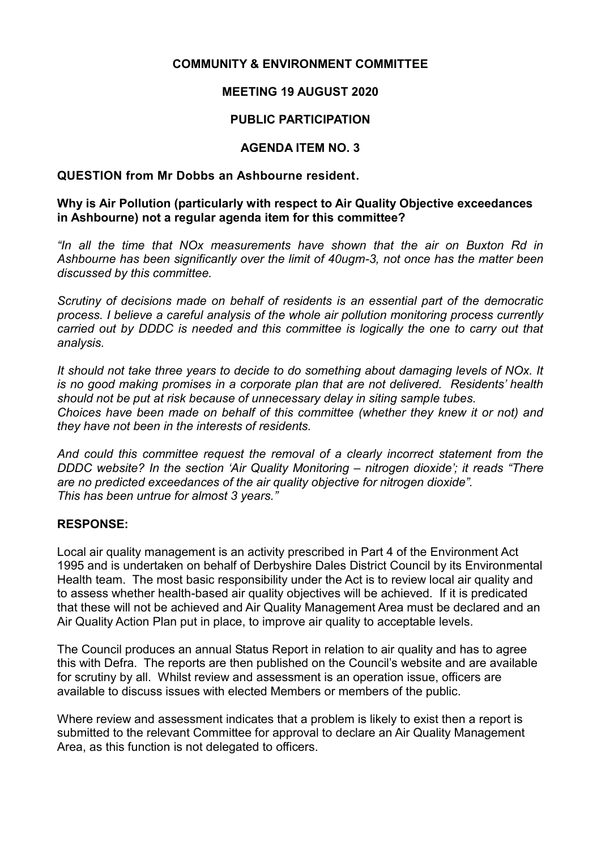## **COMMUNITY & ENVIRONMENT COMMITTEE**

# **MEETING 19 AUGUST 2020**

## **PUBLIC PARTICIPATION**

## **AGENDA ITEM NO. 3**

#### **QUESTION from Mr Dobbs an Ashbourne resident.**

#### **Why is Air Pollution (particularly with respect to Air Quality Objective exceedances in Ashbourne) not a regular agenda item for this committee?**

*"In all the time that NOx measurements have shown that the air on Buxton Rd in Ashbourne has been significantly over the limit of 40ugm-3, not once has the matter been discussed by this committee.*

*Scrutiny of decisions made on behalf of residents is an essential part of the democratic process. I believe a careful analysis of the whole air pollution monitoring process currently carried out by DDDC is needed and this committee is logically the one to carry out that analysis.*

*It should not take three years to decide to do something about damaging levels of NOx. It is no good making promises in a corporate plan that are not delivered. Residents' health should not be put at risk because of unnecessary delay in siting sample tubes. Choices have been made on behalf of this committee (whether they knew it or not) and they have not been in the interests of residents.*

*And could this committee request the removal of a clearly incorrect statement from the DDDC website? In the section 'Air Quality Monitoring – nitrogen dioxide'; it reads "There are no predicted exceedances of the air quality objective for nitrogen dioxide". This has been untrue for almost 3 years."*

#### **RESPONSE:**

Local air quality management is an activity prescribed in Part 4 of the Environment Act 1995 and is undertaken on behalf of Derbyshire Dales District Council by its Environmental Health team. The most basic responsibility under the Act is to review local air quality and to assess whether health-based air quality objectives will be achieved. If it is predicated that these will not be achieved and Air Quality Management Area must be declared and an Air Quality Action Plan put in place, to improve air quality to acceptable levels.

The Council produces an annual Status Report in relation to air quality and has to agree this with Defra. The reports are then published on the Council's website and are available for scrutiny by all. Whilst review and assessment is an operation issue, officers are available to discuss issues with elected Members or members of the public.

Where review and assessment indicates that a problem is likely to exist then a report is submitted to the relevant Committee for approval to declare an Air Quality Management Area, as this function is not delegated to officers.